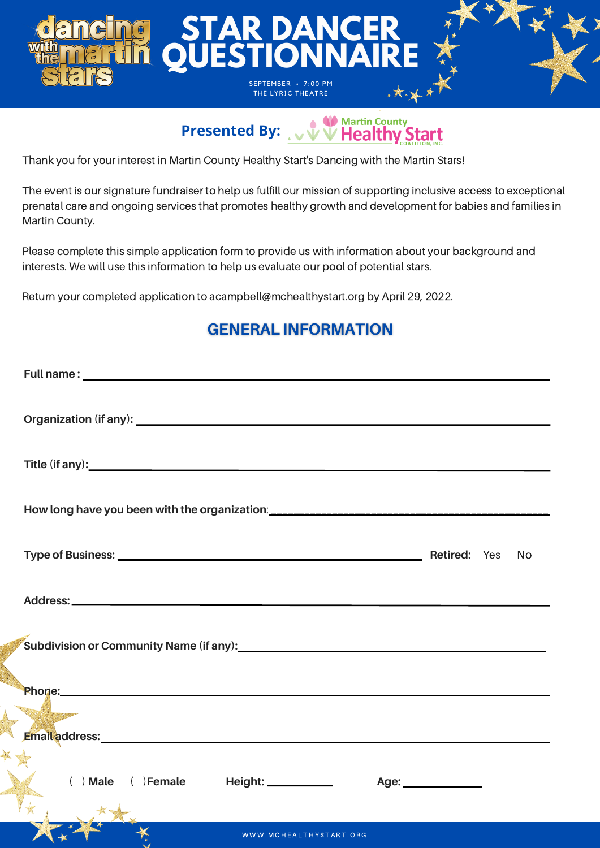

# **Presented By:** WWW Healthy Start

Thank you for your interest in Martin County Healthy Start's Dancing with the Martin Stars!

The event is our signature fundraiser to help us fulfill our mission of supporting inclusive access to exceptional prenatal care and ongoing services that promotes healthy growth and development for babies and families in Martin County.

Please complete this simple application form to provide us with information about your background and interests. We will use this information to help us evaluate our pool of potential stars.

Return your completed application to acampbell@mchealthystart.org by April 29, 2022.

### **GENERAL INFORMATION**

| No.                                                                                                                                                                                                                           |
|-------------------------------------------------------------------------------------------------------------------------------------------------------------------------------------------------------------------------------|
|                                                                                                                                                                                                                               |
|                                                                                                                                                                                                                               |
| Phone: Non-                                                                                                                                                                                                                   |
| <b>The County of the County</b>                                                                                                                                                                                               |
| Email address: Note and the set of the set of the set of the set of the set of the set of the set of the set of the set of the set of the set of the set of the set of the set of the set of the set of the set of the set of |
| () Male () Female Height: _________<br>Age: _______________                                                                                                                                                                   |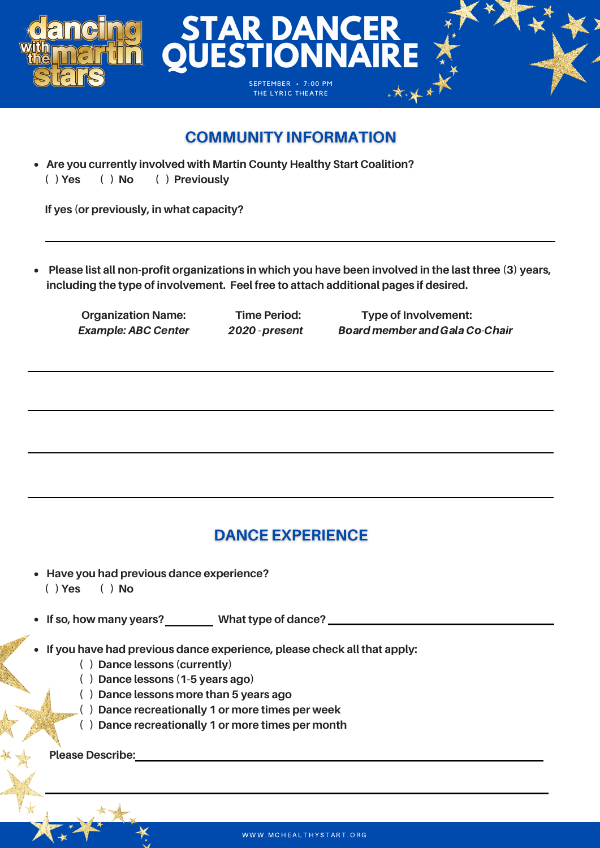

#### **COMMUNITY INFORMATION**

**Are you currently involved with Martin County Healthy Start Coalition? ( ) Yes ( ) No ( ) Previously**

**If yes (or previously, in what capacity?**

**Please list all non-profit organizations in which you have been involved in the last three (3) years,**  $\bullet$ **including the type of involvement. Feel free to attach additional pages if desired.**

**Organization Name: Time Period: Type of Involvement:** Example:ABC Center 2020 -present Board member and Gala Co-Chair

#### **DANCE EXPERIENCE**

**Have you had previous dance experience? ( ) Yes ( ) No**

**If so, how many years? What type of dance?**

- **If you have had previous dance experience, please check all that apply:**
	- **( ) Dance lessons (currently)**
	- **( ) Dance lessons (1-5 years ago)**
	- **( ) Dance lessons more than 5 years ago**
	- **( ) Dance recreationally 1 or more times per week**
	- **( ) Dance recreationally 1 or more times per month**

**Please Describe:**

WWW.MCHEALTHYSTART.ORG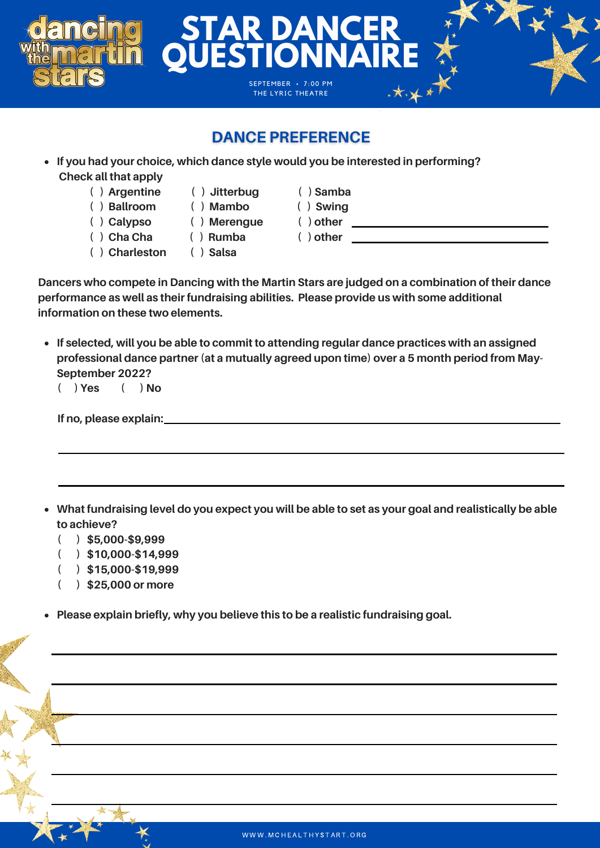#### **DANCE PREFERENCE**

**STAR DANCER**

**QUESTIONNAIRE**

SEPTEMBER · 7:00 PM THE LYRIC THEATRE

- **If you had your choice, which dance style would you be interested in performing? Check all that apply**
	- **( ) Argentine ( ) Jitterbug ( ) Samba**
	- **( ) Ballroom ( ) Mambo ( ) Swing**
	- **( ) Calypso ( ) Merengue ( ) other**
	-
	- **( ) Cha Cha ( ) Rumba ( ) other**
- 
- -
- 
- 
- **( ) Charleston ( ) Salsa**

**Dancers who compete in Dancing with the Martin Stars are judged on a combination of their dance performance as well as their fundraising abilities. Please provide us with some additional information on these two elements.**

**If selected, will you be able to commit to attending regular dance practices with an assigned professional dance partner (at a mutually agreed upon time) over a 5 month period from May-September 2022?**

**( ) Yes ( ) No**

| If no, please explain: |  |  |
|------------------------|--|--|
|                        |  |  |

- What fundraising level do you expect you will be able to set as your goal and realistically be able **to achieve?**
	- **( ) \$5,000-\$9,999**
	- **( ) \$10,000-\$14,999**
	- **( ) \$15,000-\$19,999**
	- **( ) \$25,000 or more**
- **Please explain briefly, why you believe this to be a realistic fundraising goal.**  $\bullet$